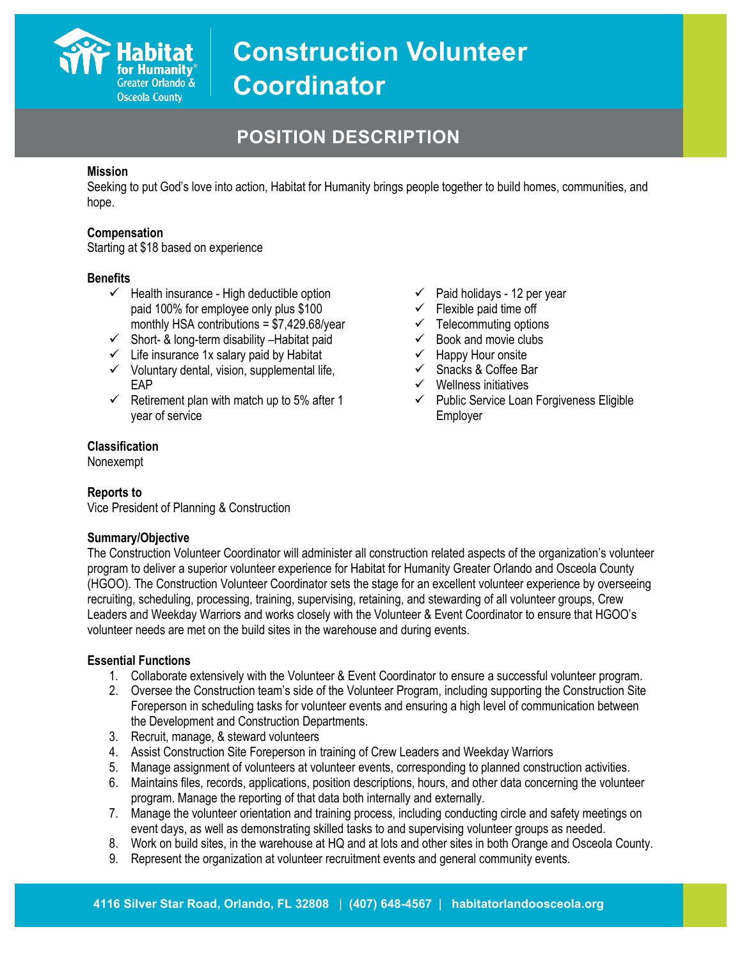

# **POSITION DESCRIPTION**

#### **Mission**

Seeking to put God's love into action, Habitat for Humanity brings people together to build homes, communities, and hope.

#### **Compensation**

Starting at \$18 based on experience

#### **Benefits**

- $\checkmark$  Health insurance High deductible option paid 100% for employee only plus \$100 monthly HSA contributions = \$7,429.68/year
- $\checkmark$  Short- & long-term disability Habitat paid
- $\checkmark$  Life insurance 1x salary paid by Habitat
- $\checkmark$  Voluntary dental, vision, supplemental life, EAP
- $\checkmark$  Retirement plan with match up to 5% after 1 year of service
- $\checkmark$  Paid holidays 12 per year
- $\checkmark$  Flexible paid time off
- $\checkmark$  Telecommuting options
- $\checkmark$  Book and movie clubs
- $\checkmark$  Happy Hour onsite
- $\checkmark$  Snacks & Coffee Bar
- $\checkmark$  Wellness initiatives
- $\checkmark$  Public Service Loan Forgiveness Eligible Employer

# **Classification**

Nonexempt

#### **Reports to**

Vice President of Planning & Construction

#### **Summary/Objective**

The Construction Volunteer Coordinator will administer all construction related aspects of the organization's volunteer program to deliver a superior volunteer experience for Habitat for Humanity Greater Orlando and Osceola County (HGOO). The Construction Volunteer Coordinator sets the stage for an excellent volunteer experience by overseeing recruiting, scheduling, processing, training, supervising, retaining, and stewarding of all volunteer groups, Crew Leaders and Weekday Warriors and works closely with the Volunteer & Event Coordinator to ensure that HGOO's volunteer needs are met on the build sites in the warehouse and during events.

#### **Essential Functions**

- 1. Collaborate extensively with the Volunteer & Event Coordinator to ensure a successful volunteer program.
- 2. Oversee the Construction team's side of the Volunteer Program, including supporting the Construction Site Foreperson in scheduling tasks for volunteer events and ensuring a high level of communication between the Development and Construction Departments.
- 3. Recruit, manage, & steward volunteers
- 4. Assist Construction Site Foreperson in training of Crew Leaders and Weekday Warriors
- 5. Manage assignment of volunteers at volunteer events, corresponding to planned construction activities.
- 6. Maintains files, records, applications, position descriptions, hours, and other data concerning the volunteer program. Manage the reporting of that data both internally and externally.
- 7. Manage the volunteer orientation and training process, including conducting circle and safety meetings on event days, as well as demonstrating skilled tasks to and supervising volunteer groups as needed.
- 8. Work on build sites, in the warehouse at HQ and at lots and other sites in both Orange and Osceola County.
- 9. Represent the organization at volunteer recruitment events and general community events.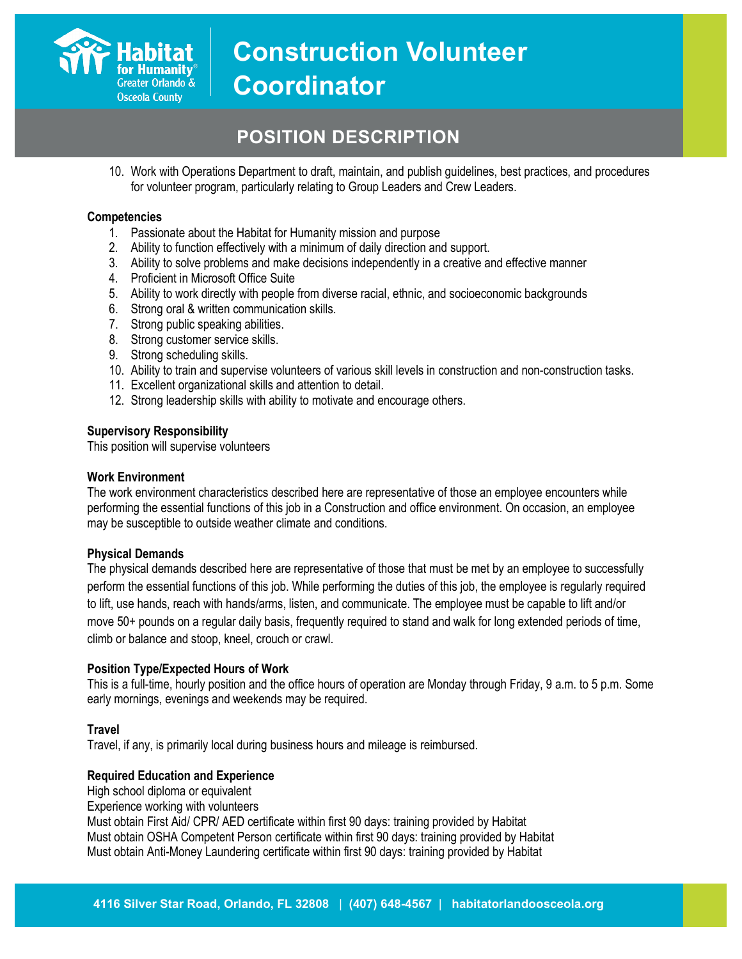

# **POSITION DESCRIPTION**

10. Work with Operations Department to draft, maintain, and publish guidelines, best practices, and procedures for volunteer program, particularly relating to Group Leaders and Crew Leaders.

#### **Competencies**

- 1. Passionate about the Habitat for Humanity mission and purpose
- 2. Ability to function effectively with a minimum of daily direction and support.
- 3. Ability to solve problems and make decisions independently in a creative and effective manner
- 4. Proficient in Microsoft Office Suite
- 5. Ability to work directly with people from diverse racial, ethnic, and socioeconomic backgrounds
- 6. Strong oral & written communication skills.
- 7. Strong public speaking abilities.
- 8. Strong customer service skills.
- 9. Strong scheduling skills.
- 10. Ability to train and supervise volunteers of various skill levels in construction and non-construction tasks.
- 11. Excellent organizational skills and attention to detail.
- 12. Strong leadership skills with ability to motivate and encourage others.

#### **Supervisory Responsibility**

This position will supervise volunteers

#### **Work Environment**

The work environment characteristics described here are representative of those an employee encounters while performing the essential functions of this job in a Construction and office environment. On occasion, an employee may be susceptible to outside weather climate and conditions.

#### **Physical Demands**

The physical demands described here are representative of those that must be met by an employee to successfully perform the essential functions of this job. While performing the duties of this job, the employee is regularly required to lift, use hands, reach with hands/arms, listen, and communicate. The employee must be capable to lift and/or move 50+ pounds on a regular daily basis, frequently required to stand and walk for long extended periods of time, climb or balance and stoop, kneel, crouch or crawl.

#### **Position Type/Expected Hours of Work**

This is a full-time, hourly position and the office hours of operation are Monday through Friday, 9 a.m. to 5 p.m. Some early mornings, evenings and weekends may be required.

## **Travel**

Travel, if any, is primarily local during business hours and mileage is reimbursed.

#### **Required Education and Experience**

High school diploma or equivalent Experience working with volunteers Must obtain First Aid/ CPR/ AED certificate within first 90 days: training provided by Habitat Must obtain OSHA Competent Person certificate within first 90 days: training provided by Habitat Must obtain Anti-Money Laundering certificate within first 90 days: training provided by Habitat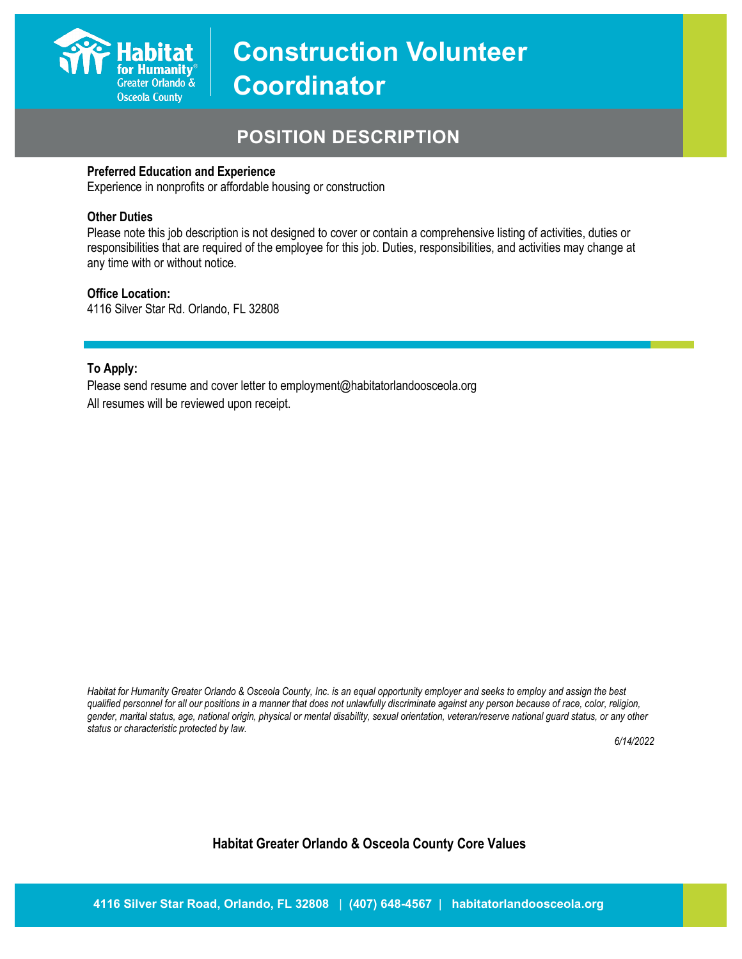

# **POSITION DESCRIPTION**

#### **Preferred Education and Experience**

Experience in nonprofits or affordable housing or construction

#### **Other Duties**

Please note this job description is not designed to cover or contain a comprehensive listing of activities, duties or responsibilities that are required of the employee for this job. Duties, responsibilities, and activities may change at any time with or without notice.

#### **Office Location:**

4116 Silver Star Rd. Orlando, FL 32808

## **To Apply:**

Please send resume and cover letter to employment@habitatorlandoosceola.org All resumes will be reviewed upon receipt.

*Habitat for Humanity Greater Orlando & Osceola County, Inc. is an equal opportunity employer and seeks to employ and assign the best qualified personnel for all our positions in a manner that does not unlawfully discriminate against any person because of race, color, religion, gender, marital status, age, national origin, physical or mental disability, sexual orientation, veteran/reserve national guard status, or any other status or characteristic protected by law.*

*6/14/2022*

# **Habitat Greater Orlando & Osceola County Core Values**